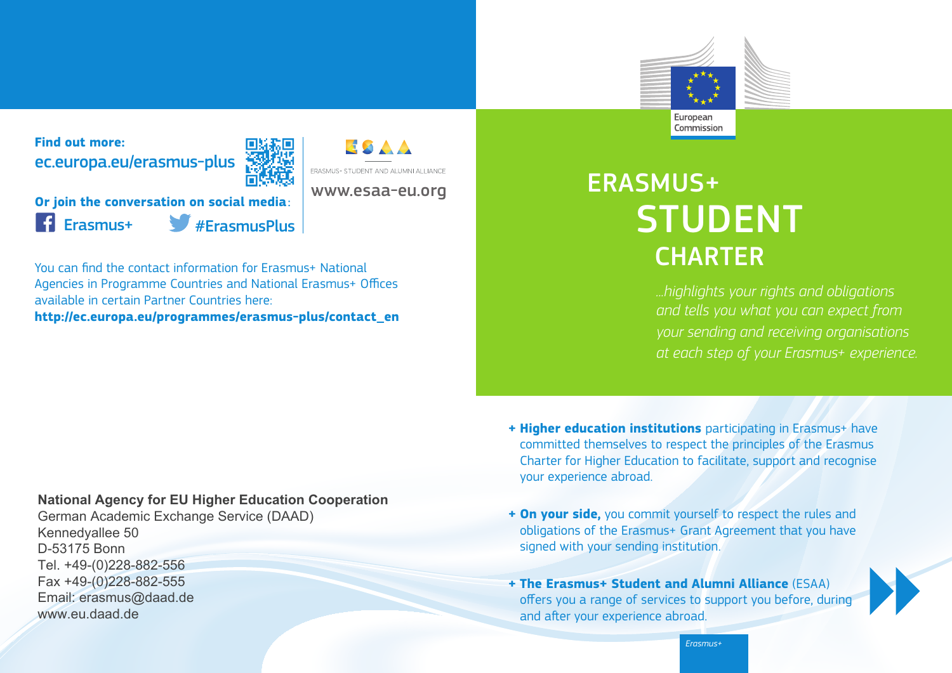

**Find out more:** ec.europa.eu/erasmus-plus



**ESAA** 

**Or join the conversation on social media**: Erasmus+ #ErasmusPlus

You can find the contact information for Erasmus+ National Agencies in Programme Countries and National Erasmus+ Offices available in certain Partner Countries here: **http://ec.europa.eu/programmes/erasmus-plus/contact\_en**

# ERASMUS+ STUDENT **CHARTER**

*...highlights your rights and obligations and tells you what you can expect from your sending and receiving organisations at each step of your Erasmus+ experience.*

## **National Agency for EU Higher Education Cooperation**

German Academic Exchange Service (DAAD) Kennedyallee 50 D-53175 Bonn Tel. +49-(0)228-882-556 Fax +49-(0)228-882-555 Email: erasmus@daad.de www.eu.daad.de

- **+ Higher education institutions** participating in Erasmus+ have committed themselves to respect the principles of the Erasmus Charter for Higher Education to facilitate, support and recognise your experience abroad.
- **+ On your side,** you commit yourself to respect the rules and obligations of the Erasmus+ Grant Agreement that you have signed with your sending institution.
- **+ The Erasmus+ Student and Alumni Alliance** (ESAA) offers you a range of services to support you before, during and after your experience abroad.